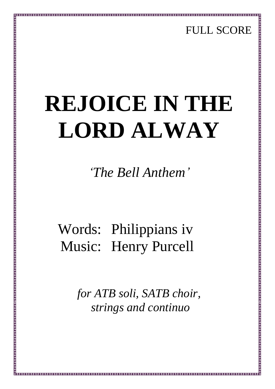## FULL SCORE

## **REJOICE IN THE LORD ALWAY**

*'The Bell Anthem'*

## Words: Philippians iv Music: Henry Purcell

*for ATB soli, SATB choir, strings and continuo*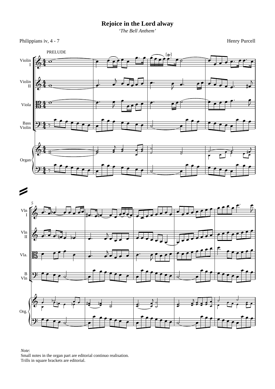## **Rejoice in the Lord alway**

*'The Bell Anthem'*

Philippians iv, 4 - 7 Henry Purcell





*Note*: Small notes in the organ part are editorial continuo realisation. Trills in square brackets are editorial.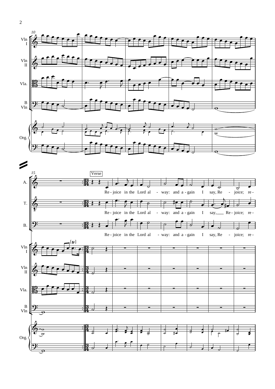

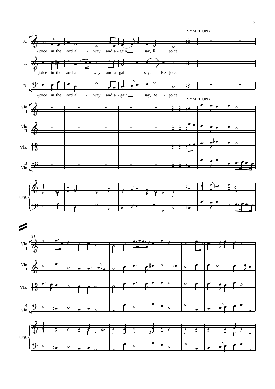

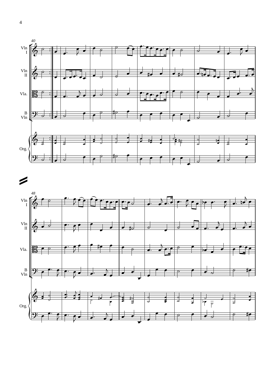



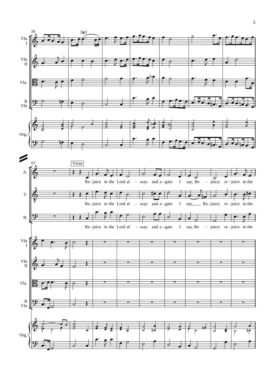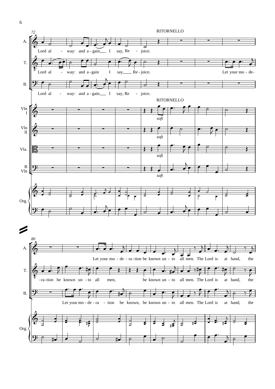

<sup>6</sup>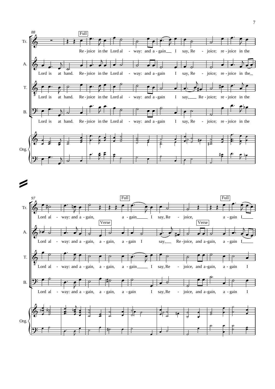



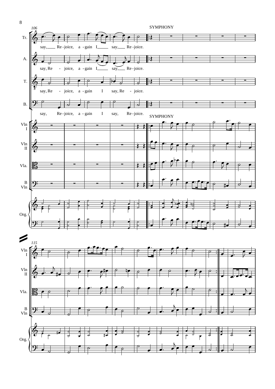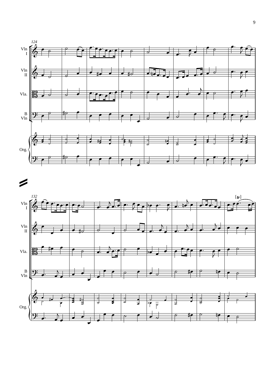



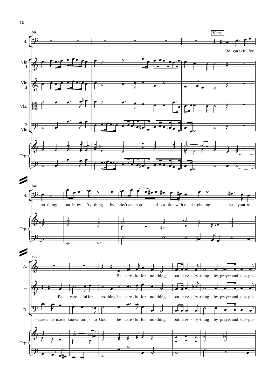

10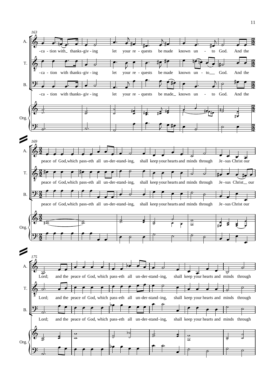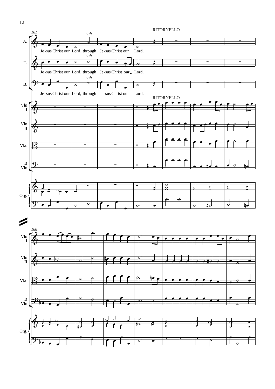

12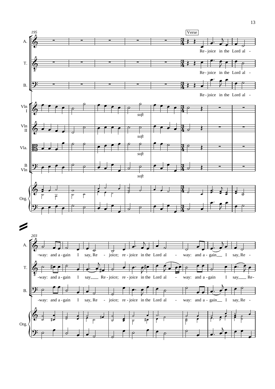

13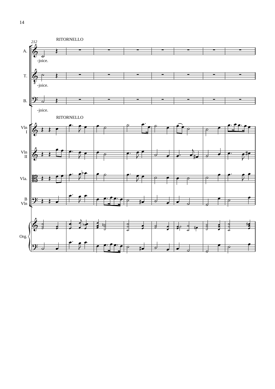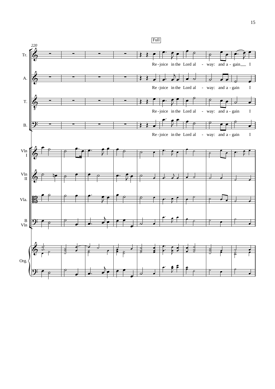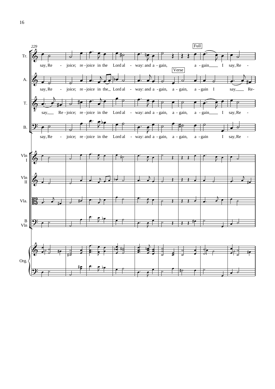